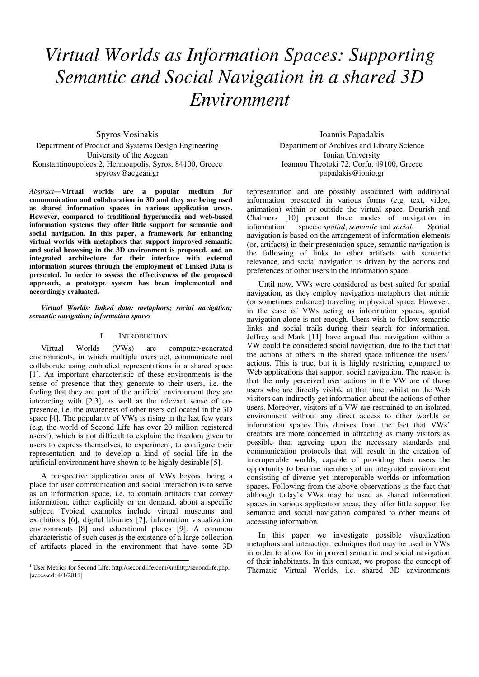# *Virtual Worlds as Information Spaces: Supporting Semantic and Social Navigation in a shared 3D Environment*

Spyros Vosinakis Department of Product and Systems Design Engineering University of the Aegean Konstantinoupoleos 2, Hermoupolis, Syros, 84100, Greece spyrosv@aegean.gr

*Abstract***—Virtual worlds are a popular medium for communication and collaboration in 3D and they are being used as shared information spaces in various application areas. However, compared to traditional hypermedia and web-based information systems they offer little support for semantic and social navigation. In this paper, a framework for enhancing virtual worlds with metaphors that support improved semantic and social browsing in the 3D environment is proposed, and an integrated architecture for their interface with external information sources through the employment of Linked Data is presented. In order to assess the effectiveness of the proposed approach, a prototype system has been implemented and accordingly evaluated.** 

*Virtual Worlds; linked data; metaphors; social navigation; semantic navigation; information spaces* 

#### I. INTRODUCTION

Virtual Worlds (VWs) are computer-generated environments, in which multiple users act, communicate and collaborate using embodied representations in a shared space [1]. An important characteristic of these environments is the sense of presence that they generate to their users, i.e. the feeling that they are part of the artificial environment they are interacting with [2,3], as well as the relevant sense of copresence, i.e. the awareness of other users collocated in the 3D space [4]. The popularity of VWs is rising in the last few years (e.g. the world of Second Life has over 20 million registered users<sup>1</sup>), which is not difficult to explain: the freedom given to users to express themselves, to experiment, to configure their representation and to develop a kind of social life in the artificial environment have shown to be highly desirable [5].

A prospective application area of VWs beyond being a place for user communication and social interaction is to serve as an information space, i.e. to contain artifacts that convey information, either explicitly or on demand, about a specific subject. Typical examples include virtual museums and exhibitions [6], digital libraries [7], information visualization environments [8] and educational places [9]. A common characteristic of such cases is the existence of a large collection of artifacts placed in the environment that have some 3D

Ioannis Papadakis Department of Archives and Library Science Ionian University Ioannou Theotoki 72, Corfu, 49100, Greece papadakis@ionio.gr

representation and are possibly associated with additional information presented in various forms (e.g. text, video, animation) within or outside the virtual space. Dourish and Chalmers [10] present three modes of navigation in information spaces: *spatial, semantic* and *social*. Spatial spaces: *spatial*, *semantic* and *social*. navigation is based on the arrangement of information elements (or, artifacts) in their presentation space, semantic navigation is the following of links to other artifacts with semantic relevance, and social navigation is driven by the actions and preferences of other users in the information space.

Until now, VWs were considered as best suited for spatial navigation, as they employ navigation metaphors that mimic (or sometimes enhance) traveling in physical space. However, in the case of VWs acting as information spaces, spatial navigation alone is not enough. Users wish to follow semantic links and social trails during their search for information. Jeffrey and Mark [11] have argued that navigation within a VW could be considered social navigation, due to the fact that the actions of others in the shared space influence the users' actions. This is true, but it is highly restricting compared to Web applications that support social navigation. The reason is that the only perceived user actions in the VW are of those users who are directly visible at that time, whilst on the Web visitors can indirectly get information about the actions of other users. Moreover, visitors of a VW are restrained to an isolated environment without any direct access to other worlds or information spaces. This derives from the fact that VWs' creators are more concerned in attracting as many visitors as possible than agreeing upon the necessary standards and communication protocols that will result in the creation of interoperable worlds, capable of providing their users the opportunity to become members of an integrated environment consisting of diverse yet interoperable worlds or information spaces. Following from the above observations is the fact that although today's VWs may be used as shared information spaces in various application areas, they offer little support for semantic and social navigation compared to other means of accessing information.

In this paper we investigate possible visualization metaphors and interaction techniques that may be used in VWs in order to allow for improved semantic and social navigation of their inhabitants. In this context, we propose the concept of Thematic Virtual Worlds, i.e. shared 3D environments

 1 User Metrics for Second Life: http://secondlife.com/xmlhttp/secondlife.php, [accessed: 4/1/2011]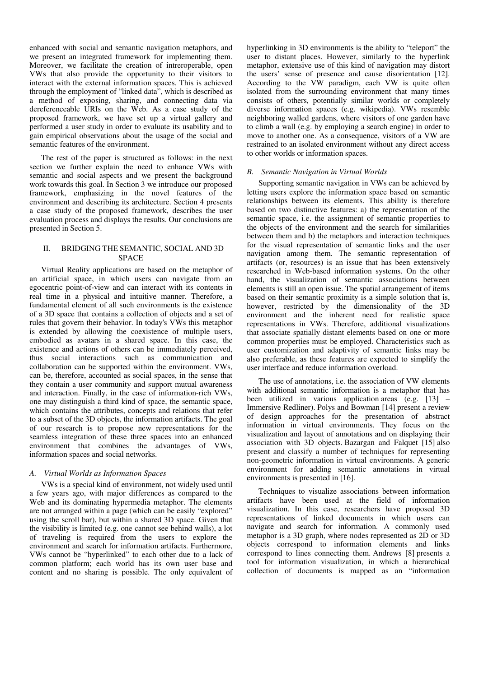enhanced with social and semantic navigation metaphors, and we present an integrated framework for implementing them. Moreover, we facilitate the creation of intreroperable, open VWs that also provide the opportunity to their visitors to interact with the external information spaces. This is achieved through the employment of "linked data", which is described as a method of exposing, sharing, and connecting data via dereferenceable URIs on the Web. As a case study of the proposed framework, we have set up a virtual gallery and performed a user study in order to evaluate its usability and to gain empirical observations about the usage of the social and semantic features of the environment.

The rest of the paper is structured as follows: in the next section we further explain the need to enhance VWs with semantic and social aspects and we present the background work towards this goal. In Section 3 we introduce our proposed framework, emphasizing in the novel features of the environment and describing its architecture. Section 4 presents a case study of the proposed framework, describes the user evaluation process and displays the results. Our conclusions are presented in Section 5.

# II. BRIDGING THE SEMANTIC, SOCIAL AND 3D SPACE

Virtual Reality applications are based on the metaphor of an artificial space, in which users can navigate from an egocentric point-of-view and can interact with its contents in real time in a physical and intuitive manner. Therefore, a fundamental element of all such environments is the existence of a 3D space that contains a collection of objects and a set of rules that govern their behavior. In today's VWs this metaphor is extended by allowing the coexistence of multiple users, embodied as avatars in a shared space. In this case, the existence and actions of others can be immediately perceived, thus social interactions such as communication and collaboration can be supported within the environment. VWs, can be, therefore, accounted as social spaces, in the sense that they contain a user community and support mutual awareness and interaction. Finally, in the case of information-rich VWs, one may distinguish a third kind of space, the semantic space, which contains the attributes, concepts and relations that refer to a subset of the 3D objects, the information artifacts. The goal of our research is to propose new representations for the seamless integration of these three spaces into an enhanced environment that combines the advantages of VWs, information spaces and social networks.

# *A. Virtual Worlds as Information Spaces*

VWs is a special kind of environment, not widely used until a few years ago, with major differences as compared to the Web and its dominating hypermedia metaphor. The elements are not arranged within a page (which can be easily "explored" using the scroll bar), but within a shared 3D space. Given that the visibility is limited (e.g. one cannot see behind walls), a lot of traveling is required from the users to explore the environment and search for information artifacts. Furthermore, VWs cannot be "hyperlinked" to each other due to a lack of common platform; each world has its own user base and content and no sharing is possible. The only equivalent of

hyperlinking in 3D environments is the ability to "teleport" the user to distant places. However, similarly to the hyperlink metaphor, extensive use of this kind of navigation may distort the users' sense of presence and cause disorientation [12]. According to the VW paradigm, each VW is quite often isolated from the surrounding environment that many times consists of others, potentially similar worlds or completely diverse information spaces (e.g. wikipedia). VWs resemble neighboring walled gardens, where visitors of one garden have to climb a wall (e.g. by employing a search engine) in order to move to another one. As a consequence, visitors of a VW are restrained to an isolated environment without any direct access to other worlds or information spaces.

# *B. Semantic Navigation in Virtual Worlds*

Supporting semantic navigation in VWs can be achieved by letting users explore the information space based on semantic relationships between its elements. This ability is therefore based on two distinctive features: a) the representation of the semantic space, i.e. the assignment of semantic properties to the objects of the environment and the search for similarities between them and b) the metaphors and interaction techniques for the visual representation of semantic links and the user navigation among them. The semantic representation of artifacts (or, resources) is an issue that has been extensively researched in Web-based information systems. On the other hand, the visualization of semantic associations between elements is still an open issue. The spatial arrangement of items based on their semantic proximity is a simple solution that is, however, restricted by the dimensionality of the 3D environment and the inherent need for realistic space representations in VWs. Therefore, additional visualizations that associate spatially distant elements based on one or more common properties must be employed. Characteristics such as user customization and adaptivity of semantic links may be also preferable, as these features are expected to simplify the user interface and reduce information overload.

The use of annotations, i.e. the association of VW elements with additional semantic information is a metaphor that has been utilized in various application areas (e.g. [13] – Immersive Redliner). Polys and Bowman [14] present a review of design approaches for the presentation of abstract information in virtual environments. They focus on the visualization and layout of annotations and on displaying their association with 3D objects. Bazargan and Falquet [15] also present and classify a number of techniques for representing non-geometric information in virtual environments. A generic environment for adding semantic annotations in virtual environments is presented in [16].

Techniques to visualize associations between information artifacts have been used at the field of information visualization. In this case, researchers have proposed 3D representations of linked documents in which users can navigate and search for information. A commonly used metaphor is a 3D graph, where nodes represented as 2D or 3D objects correspond to information elements and links correspond to lines connecting them. Andrews [8] presents a tool for information visualization, in which a hierarchical collection of documents is mapped as an "information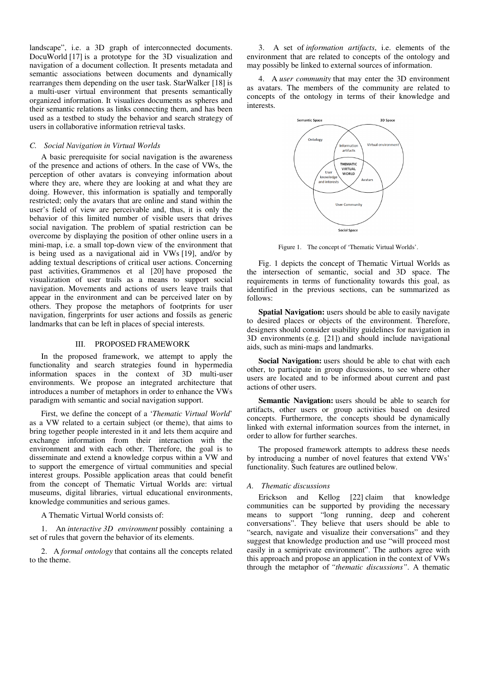landscape", i.e. a 3D graph of interconnected documents. DocuWorld [17] is a prototype for the 3D visualization and navigation of a document collection. It presents metadata and semantic associations between documents and dynamically rearranges them depending on the user task. StarWalker [18] is a multi-user virtual environment that presents semantically organized information. It visualizes documents as spheres and their semantic relations as links connecting them, and has been used as a testbed to study the behavior and search strategy of users in collaborative information retrieval tasks.

### *C. Social Navigation in Virtual Worlds*

A basic prerequisite for social navigation is the awareness of the presence and actions of others. In the case of VWs, the perception of other avatars is conveying information about where they are, where they are looking at and what they are doing. However, this information is spatially and temporally restricted; only the avatars that are online and stand within the user's field of view are perceivable and, thus, it is only the behavior of this limited number of visible users that drives social navigation. The problem of spatial restriction can be overcome by displaying the position of other online users in a mini-map, i.e. a small top-down view of the environment that is being used as a navigational aid in VWs [19], and/or by adding textual descriptions of critical user actions. Concerning past activities, Grammenos et al [20] have proposed the visualization of user trails as a means to support social navigation. Movements and actions of users leave trails that appear in the environment and can be perceived later on by others. They propose the metaphors of footprints for user navigation, fingerprints for user actions and fossils as generic landmarks that can be left in places of special interests.

#### III. PROPOSED FRAMEWORK

In the proposed framework, we attempt to apply the functionality and search strategies found in hypermedia information spaces in the context of 3D multi-user environments. We propose an integrated architecture that introduces a number of metaphors in order to enhance the VWs paradigm with semantic and social navigation support.

First, we define the concept of a '*Thematic Virtual World*' as a VW related to a certain subject (or theme), that aims to bring together people interested in it and lets them acquire and exchange information from their interaction with the environment and with each other. Therefore, the goal is to disseminate and extend a knowledge corpus within a VW and to support the emergence of virtual communities and special interest groups. Possible application areas that could benefit from the concept of Thematic Virtual Worlds are: virtual museums, digital libraries, virtual educational environments, knowledge communities and serious games.

A Thematic Virtual World consists of:

1. An *interactive 3D environment* possibly containing a set of rules that govern the behavior of its elements.

2. A *formal ontology* that contains all the concepts related to the theme.

3. A set of *information artifacts*, i.e. elements of the environment that are related to concepts of the ontology and may possibly be linked to external sources of information.

4. A *user community* that may enter the 3D environment as avatars. The members of the community are related to concepts of the ontology in terms of their knowledge and interests.



Figure 1. The concept of 'Thematic Virtual Worlds'.

Fig. 1 depicts the concept of Thematic Virtual Worlds as the intersection of semantic, social and 3D space. The requirements in terms of functionality towards this goal, as identified in the previous sections, can be summarized as follows:

**Spatial Navigation:** users should be able to easily navigate to desired places or objects of the environment. Therefore, designers should consider usability guidelines for navigation in 3D environments (e.g. [21]) and should include navigational aids, such as mini-maps and landmarks.

**Social Navigation:** users should be able to chat with each other, to participate in group discussions, to see where other users are located and to be informed about current and past actions of other users.

**Semantic Navigation:** users should be able to search for artifacts, other users or group activities based on desired concepts. Furthermore, the concepts should be dynamically linked with external information sources from the internet, in order to allow for further searches.

The proposed framework attempts to address these needs by introducing a number of novel features that extend VWs' functionality. Such features are outlined below.

## *A. Thematic discussions*

Erickson and Kellog [22] claim that knowledge communities can be supported by providing the necessary means to support "long running, deep and coherent conversations". They believe that users should be able to "search, navigate and visualize their conversations" and they suggest that knowledge production and use "will proceed most easily in a semiprivate environment". The authors agree with this approach and propose an application in the context of VWs through the metaphor of *"thematic discussions"*. A thematic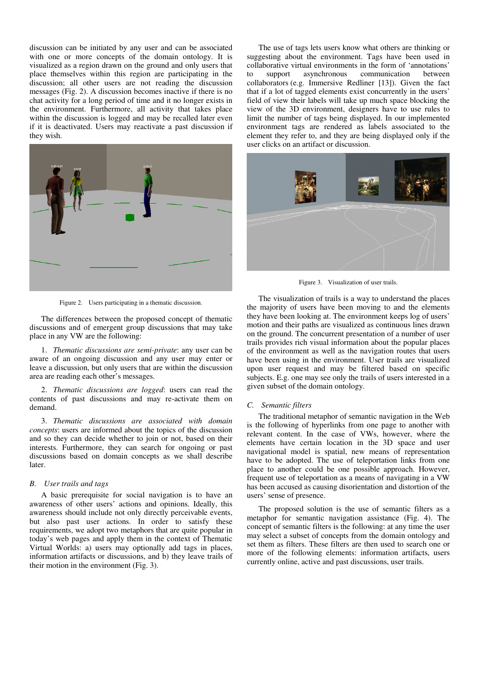discussion can be initiated by any user and can be associated with one or more concepts of the domain ontology. It is visualized as a region drawn on the ground and only users that place themselves within this region are participating in the discussion; all other users are not reading the discussion messages (Fig. 2). A discussion becomes inactive if there is no chat activity for a long period of time and it no longer exists in the environment. Furthermore, all activity that takes place within the discussion is logged and may be recalled later even if it is deactivated. Users may reactivate a past discussion if they wish.



Figure 2. Users participating in a thematic discussion.

The differences between the proposed concept of thematic discussions and of emergent group discussions that may take place in any VW are the following:

1. *Thematic discussions are semi-private*: any user can be aware of an ongoing discussion and any user may enter or leave a discussion, but only users that are within the discussion area are reading each other's messages.

2. *Thematic discussions are logged*: users can read the contents of past discussions and may re-activate them on demand.

3. *Thematic discussions are associated with domain concepts*: users are informed about the topics of the discussion and so they can decide whether to join or not, based on their interests. Furthermore, they can search for ongoing or past discussions based on domain concepts as we shall describe later.

#### *B. User trails and tags*

A basic prerequisite for social navigation is to have an awareness of other users' actions and opinions. Ideally, this awareness should include not only directly perceivable events, but also past user actions. In order to satisfy these requirements, we adopt two metaphors that are quite popular in today's web pages and apply them in the context of Thematic Virtual Worlds: a) users may optionally add tags in places, information artifacts or discussions, and b) they leave trails of their motion in the environment (Fig. 3).

The use of tags lets users know what others are thinking or suggesting about the environment. Tags have been used in collaborative virtual environments in the form of 'annotations' to support asynchronous communication between collaborators (e.g. Immersive Redliner [13]). Given the fact that if a lot of tagged elements exist concurrently in the users' field of view their labels will take up much space blocking the view of the 3D environment, designers have to use rules to limit the number of tags being displayed. In our implemented environment tags are rendered as labels associated to the element they refer to, and they are being displayed only if the user clicks on an artifact or discussion.



Figure 3. Visualization of user trails.

The visualization of trails is a way to understand the places the majority of users have been moving to and the elements they have been looking at. The environment keeps log of users' motion and their paths are visualized as continuous lines drawn on the ground. The concurrent presentation of a number of user trails provides rich visual information about the popular places of the environment as well as the navigation routes that users have been using in the environment. User trails are visualized upon user request and may be filtered based on specific subjects. E.g. one may see only the trails of users interested in a given subset of the domain ontology.

## *C. Semantic filters*

The traditional metaphor of semantic navigation in the Web is the following of hyperlinks from one page to another with relevant content. In the case of VWs, however, where the elements have certain location in the 3D space and user navigational model is spatial, new means of representation have to be adopted. The use of teleportation links from one place to another could be one possible approach. However, frequent use of teleportation as a means of navigating in a VW has been accused as causing disorientation and distortion of the users' sense of presence.

The proposed solution is the use of semantic filters as a metaphor for semantic navigation assistance (Fig. 4). The concept of semantic filters is the following: at any time the user may select a subset of concepts from the domain ontology and set them as filters. These filters are then used to search one or more of the following elements: information artifacts, users currently online, active and past discussions, user trails.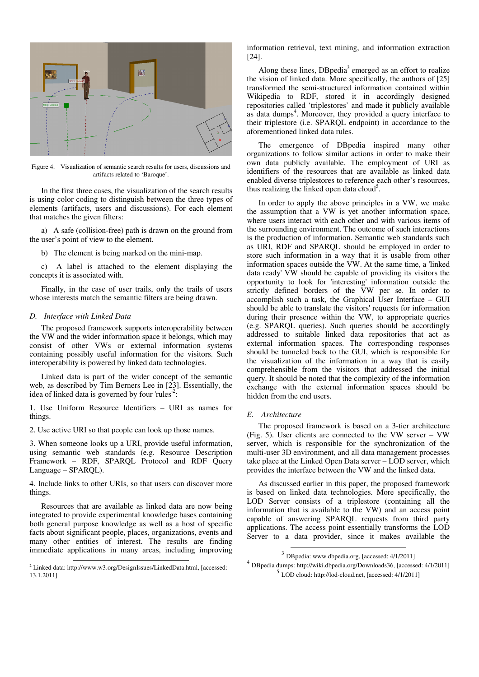

Figure 4. Visualization of semantic search results for users, discussions and artifacts related to 'Baroque'.

In the first three cases, the visualization of the search results is using color coding to distinguish between the three types of elements (artifacts, users and discussions). For each element that matches the given filters:

a) A safe (collision-free) path is drawn on the ground from the user's point of view to the element.

b) The element is being marked on the mini-map.

c) A label is attached to the element displaying the concepts it is associated with.

Finally, in the case of user trails, only the trails of users whose interests match the semantic filters are being drawn.

## *D. Interface with Linked Data*

The proposed framework supports interoperability between the VW and the wider information space it belongs, which may consist of other VWs or external information systems containing possibly useful information for the visitors. Such interoperability is powered by linked data technologies.

Linked data is part of the wider concept of the semantic web, as described by Tim Berners Lee in [23]. Essentially, the idea of linked data is governed by four 'rules $^2$ .

1. Use Uniform Resource Identifiers – URI as names for things.

2. Use active URI so that people can look up those names.

3. When someone looks up a URI, provide useful information, using semantic web standards (e.g. Resource Description Framework – RDF, SPARQL Protocol and RDF Query Language – SPARQL).

4. Include links to other URIs, so that users can discover more things.

Resources that are available as linked data are now being integrated to provide experimental knowledge bases containing both general purpose knowledge as well as a host of specific facts about significant people, places, organizations, events and many other entities of interest. The results are finding immediate applications in many areas, including improving information retrieval, text mining, and information extraction [24].

Along these lines,  $DBpedia<sup>3</sup>$  emerged as an effort to realize the vision of linked data. More specifically, the authors of [25] transformed the semi-structured information contained within Wikipedia to RDF, stored it in accordingly designed repositories called 'triplestores' and made it publicly available as data dumps<sup>4</sup>. Moreover, they provided a query interface to their triplestore (i.e. SPARQL endpoint) in accordance to the aforementioned linked data rules.

The emergence of DBpedia inspired many other organizations to follow similar actions in order to make their own data publicly available. The employment of URI as identifiers of the resources that are available as linked data enabled diverse triplestores to reference each other's resources, thus realizing the linked open data cloud<sup>5</sup>.

In order to apply the above principles in a VW, we make the assumption that a VW is yet another information space, where users interact with each other and with various items of the surrounding environment. The outcome of such interactions is the production of information. Semantic web standards such as URI, RDF and SPARQL should be employed in order to store such information in a way that it is usable from other information spaces outside the VW. At the same time, a 'linked data ready' VW should be capable of providing its visitors the opportunity to look for 'interesting' information outside the strictly defined borders of the VW per se. In order to accomplish such a task, the Graphical User Interface  $-$  GUI should be able to translate the visitors' requests for information during their presence within the VW, to appropriate queries (e.g. SPARQL queries). Such queries should be accordingly addressed to suitable linked data repositories that act as external information spaces. The corresponding responses should be tunneled back to the GUI, which is responsible for the visualization of the information in a way that is easily comprehensible from the visitors that addressed the initial query. It should be noted that the complexity of the information exchange with the external information spaces should be hidden from the end users.

#### *E. Architecture*

 $\overline{a}$ 

The proposed framework is based on a 3-tier architecture (Fig. 5). User clients are connected to the VW server – VW server, which is responsible for the synchronization of the multi-user 3D environment, and all data management processes take place at the Linked Open Data server – LOD server, which provides the interface between the VW and the linked data.

As discussed earlier in this paper, the proposed framework is based on linked data technologies. More specifically, the LOD Server consists of a triplestore (containing all the information that is available to the VW) and an access point capable of answering SPARQL requests from third party applications. The access point essentially transforms the LOD Server to a data provider, since it makes available the

 2 Linked data: http://www.w3.org/DesignIssues/LinkedData.html, [accessed: 13.1.2011]

<sup>3</sup> DBpedia: www.dbpedia.org, [accessed: 4/1/2011]

<sup>4</sup> DBpedia dumps: http://wiki.dbpedia.org/Downloads36, [accessed: 4/1/2011] 5 LOD cloud: http://lod-cloud.net, [accessed: 4/1/2011]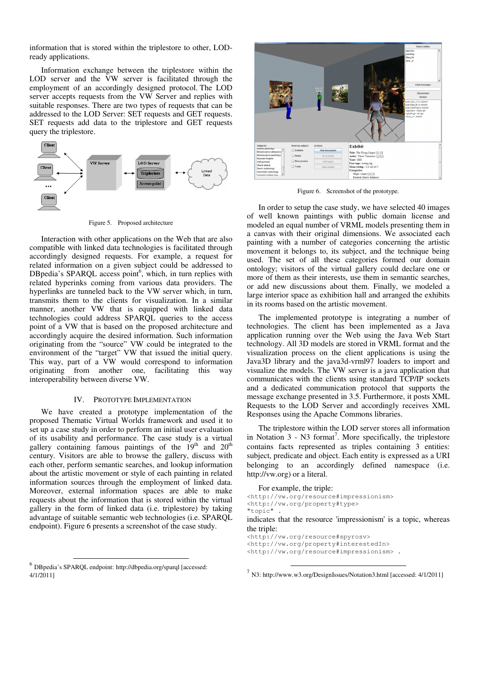information that is stored within the triplestore to other, LODready applications.

Information exchange between the triplestore within the LOD server and the VW server is facilitated through the employment of an accordingly designed protocol. The LOD server accepts requests from the VW Server and replies with suitable responses. There are two types of requests that can be addressed to the LOD Server: SET requests and GET requests. SET requests add data to the triplestore and GET requests query the triplestore.



Figure 5. Proposed architecture

Interaction with other applications on the Web that are also compatible with linked data technologies is facilitated through accordingly designed requests. For example, a request for related information on a given subject could be addressed to DBpedia's SPARQL access point<sup>6</sup>, which, in turn replies with related hyperinks coming from various data providers. The hyperlinks are tunneled back to the VW server which, in turn, transmits them to the clients for visualization. In a similar manner, another VW that is equipped with linked data technologies could address SPARQL queries to the access point of a VW that is based on the proposed architecture and accordingly acquire the desired information. Such information originating from the "source" VW could be integrated to the environment of the "target" VW that issued the initial query. This way, part of a VW would correspond to information originating from another one, facilitating this way interoperability between diverse VW.

# IV. PROTOTYPE IMPLEMENTATION

We have created a prototype implementation of the proposed Thematic Virtual Worlds framework and used it to set up a case study in order to perform an initial user evaluation of its usability and performance. The case study is a virtual gallery containing famous paintings of the  $19<sup>th</sup>$  and  $20<sup>th</sup>$ century. Visitors are able to browse the gallery, discuss with each other, perform semantic searches, and lookup information about the artistic movement or style of each painting in related information sources through the employment of linked data. Moreover, external information spaces are able to make requests about the information that is stored within the virtual gallery in the form of linked data (i.e. triplestore) by taking advantage of suitable semantic web technologies (i.e. SPARQL endpoint). Figure 6 presents a screenshot of the case study.

-



Figure 6. Screenshot of the prototype.

In order to setup the case study, we have selected 40 images of well known paintings with public domain license and modeled an equal number of VRML models presenting them in a canvas with their original dimensions. We associated each painting with a number of categories concerning the artistic movement it belongs to, its subject, and the technique being used. The set of all these categories formed our domain ontology; visitors of the virtual gallery could declare one or more of them as their interests, use them in semantic searches, or add new discussions about them. Finally, we modeled a large interior space as exhibition hall and arranged the exhibits in its rooms based on the artistic movement.

The implemented prototype is integrating a number of technologies. The client has been implemented as a Java application running over the Web using the Java Web Start technology. All 3D models are stored in VRML format and the visualization process on the client applications is using the Java3D library and the java3d-vrml97 loaders to import and visualize the models. The VW server is a java application that communicates with the clients using standard TCP/IP sockets and a dedicated communication protocol that supports the message exchange presented in 3.5. Furthermore, it posts XML Requests to the LOD Server and accordingly receives XML Responses using the Apache Commons libraries.

The triplestore within the LOD server stores all information in Notation  $3$  - N3 format<sup>7</sup>. More specifically, the triplestore contains facts represented as triples containing 3 entities: subject, predicate and object. Each entity is expressed as a URI belonging to an accordingly defined namespace (i.e. http://vw.org) or a literal.

For example, the triple:

 $\overline{a}$ 

```
<http://vw.org/resource#impressionism> 
<http://vw.org/property#type> 
"topic" .
```
indicates that the resource 'impressionism' is a topic, whereas the triple:

<http://vw.org/resource#spyrosv> <http://vw.org/property#interestedIn> <http://vw.org/resource#impressionism> .

<sup>6</sup> DBpedia's SPARQL endpoint: http://dbpedia.org/sparql [accessed: 4/1/2011]

<sup>7</sup> N3: http://www.w3.org/DesignIssues/Notation3.html [accessed: 4/1/2011]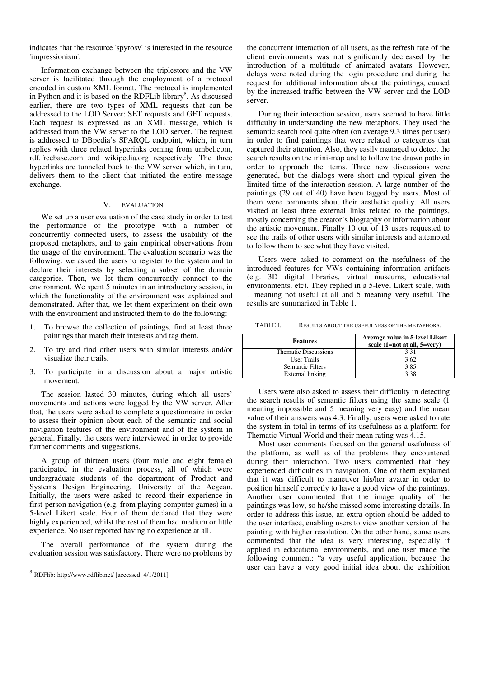indicates that the resource 'spyrosv' is interested in the resource 'impressionism'.

Information exchange between the triplestore and the VW server is facilitated through the employment of a protocol encoded in custom XML format. The protocol is implemented in Python and it is based on the RDFLib library<sup>8</sup>. As discussed earlier, there are two types of XML requests that can be addressed to the LOD Server: SET requests and GET requests. Each request is expressed as an XML message, which is addressed from the VW server to the LOD server. The request is addressed to DBpedia's SPARQL endpoint, which, in turn replies with three related hyperinks coming from umbel.com, rdf.freebase.com and wikipedia.org respectively. The three hyperlinks are tunneled back to the VW server which, in turn, delivers them to the client that initiated the entire message exchange.

## V. EVALUATION

We set up a user evaluation of the case study in order to test the performance of the prototype with a number of concurrently connected users, to assess the usability of the proposed metaphors, and to gain empirical observations from the usage of the environment. The evaluation scenario was the following: we asked the users to register to the system and to declare their interests by selecting a subset of the domain categories. Then, we let them concurrently connect to the environment. We spent 5 minutes in an introductory session, in which the functionality of the environment was explained and demonstrated. After that, we let them experiment on their own with the environment and instructed them to do the following:

- 1. To browse the collection of paintings, find at least three paintings that match their interests and tag them.
- 2. To try and find other users with similar interests and/or visualize their trails.
- 3. To participate in a discussion about a major artistic movement.

The session lasted 30 minutes, during which all users' movements and actions were logged by the VW server. After that, the users were asked to complete a questionnaire in order to assess their opinion about each of the semantic and social navigation features of the environment and of the system in general. Finally, the users were interviewed in order to provide further comments and suggestions.

A group of thirteen users (four male and eight female) participated in the evaluation process, all of which were undergraduate students of the department of Product and Systems Design Engineering, University of the Aegean. Initially, the users were asked to record their experience in first-person navigation (e.g. from playing computer games) in a 5-level Likert scale. Four of them declared that they were highly experienced, whilst the rest of them had medium or little experience. No user reported having no experience at all.

The overall performance of the system during the evaluation session was satisfactory. There were no problems by

-

the concurrent interaction of all users, as the refresh rate of the client environments was not significantly decreased by the introduction of a multitude of animated avatars. However, delays were noted during the login procedure and during the request for additional information about the paintings, caused by the increased traffic between the VW server and the LOD server.

During their interaction session, users seemed to have little difficulty in understanding the new metaphors. They used the semantic search tool quite often (on average 9.3 times per user) in order to find paintings that were related to categories that captured their attention. Also, they easily managed to detect the search results on the mini-map and to follow the drawn paths in order to approach the items. Three new discussions were generated, but the dialogs were short and typical given the limited time of the interaction session. A large number of the paintings (29 out of 40) have been tagged by users. Most of them were comments about their aesthetic quality. All users visited at least three external links related to the paintings, mostly concerning the creator's biography or information about the artistic movement. Finally 10 out of 13 users requested to see the trails of other users with similar interests and attempted to follow them to see what they have visited.

Users were asked to comment on the usefulness of the introduced features for VWs containing information artifacts (e.g. 3D digital libraries, virtual museums, educational environments, etc). They replied in a 5-level Likert scale, with 1 meaning not useful at all and 5 meaning very useful. The results are summarized in Table 1.

TABLE I. RESULTS ABOUT THE USEFULNESS OF THE METAPHORS.

| <b>Features</b>         | Average value in 5-level Likert<br>scale $(1=not at all, 5=very)$ |
|-------------------------|-------------------------------------------------------------------|
| Thematic Discussions    | 3.31                                                              |
| <b>User Trails</b>      | 3.62                                                              |
| <b>Semantic Filters</b> | 3.85                                                              |
| External linking        | 3.38                                                              |

Users were also asked to assess their difficulty in detecting the search results of semantic filters using the same scale (1 meaning impossible and 5 meaning very easy) and the mean value of their answers was 4.3. Finally, users were asked to rate the system in total in terms of its usefulness as a platform for Thematic Virtual World and their mean rating was 4.15.

Most user comments focused on the general usefulness of the platform, as well as of the problems they encountered during their interaction. Two users commented that they experienced difficulties in navigation. One of them explained that it was difficult to maneuver his/her avatar in order to position himself correctly to have a good view of the paintings. Another user commented that the image quality of the paintings was low, so he/she missed some interesting details. In order to address this issue, an extra option should be added to the user interface, enabling users to view another version of the painting with higher resolution. On the other hand, some users commented that the idea is very interesting, especially if applied in educational environments, and one user made the following comment: "a very useful application, because the user can have a very good initial idea about the exhibition

<sup>8</sup> RDFlib: http://www.rdflib.net/ [accessed: 4/1/2011]